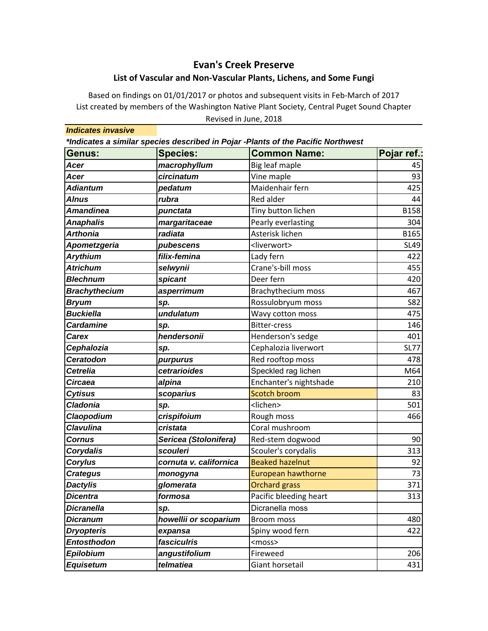## **Evan's Creek Preserve List of Vascular and Non‐Vascular Plants, Lichens, and Some Fungi**

Based on findings on 01/01/2017 or photos and subsequent visits in Feb‐March of 2017 Revised in June, 2018 List created by members of the Washington Native Plant Society, Central Puget Sound Chapter

*Indicates invasive \*Indicates a similar species described in Pojar -Plants of the Pacific Northwest* Genus: Species: Common Name: Pojar ref.: **Acer macrophyllum** Big leaf maple **1996 1997 Acer circinatum** Vine maple 193 *Adiantum pedatum* Maidenhair fern 425 **Alnus** *rubra* **Red alder 144 Amandinea bunctata Reserve Exercise Exercise Serve Amandinea** B158 **Anaphalis and** *margaritaceae* Pearly everlasting and the 304 *Arthonia radiata* Asterisk lichen B165 **Apometzgeria and pubescens** and all states and states and states and states and states and states and states states *Arythium filix-femina* Lady fern 422 *Atrichum selwynii* Crane's‐bill moss 455 **Blechnum Spicant** Spicant **Deer fern** 120 **Brachythecium asperrimum Brachythecium moss** 1 467 **Bryum sp. Sp. Rossulobryum moss Fig. 1882** *Buckiella undulatum* Wavy cotton moss 475 **Cardamine sp. 55 Section Section Section** Bitter-cress that the substitution of the section of the section of the section of the section of the section of the section of the section of the section of the section of the se **Carex hendersonii** Henderson's sedge and the 401 **Cephalozia Sp. Superment SL77** Cephalozia liverwort SL77 **Ceratodon purpurus** Red rooftop moss and the 478 **Cetrelia cetrarioides** Speckled rag lichen M64 **Circaea alpina alpina alpina alpina alpina algume alpina alpina e 210 Cytisus Scoparius Scoparius** Scotch broom **SCOTE 1983 Cladonia sp.** Sp. Supervisors and  $\vert$  sp. Supervisors and  $\vert$  sp. Supervisors and  $\vert$  sp. Supervisors and  $\vert$  sp. Supervisors and  $\vert$  sp. Supervisors and  $\vert$  sp. Supervisors and  $\vert$  sp. Supervisors and  $\vert$  speci *Claopodium crispifoium* Rough moss 466 **Clavulina cristata** Coral mushroom **Cornus Sericea (Stolonifera)** Red-stem dogwood Redesiller 190 **Corydalis** Scouleri Scouler's corydalis and Scouler's corydalis and the state of the state of the state of the state of the state of the state of the state of the state of the state of the state of the state of the state **Corylus cornuta v. californica** Beaked hazelnut **correlations and the set of the set of the set of the set of th Crategus monogyna** European hawthorne 1995 For the 173 **Dactylis community and glomerata Community Community Community Community Community Community Community Community Dicentra** *formosa* **Pacific bleeding heart** 1 313 **Dicranella** sp. **Sp. Dicranella moss Dicranum howellii or scoparium** Broom moss and the two two 480 **Dryopteris** expansa Spiny wood fern and 422 **Entosthodon** *fasciculris*  $\vert$ <moss> *Epilobium angustifolium* Fireweed 206 *Equisetum telmatiea* Giant horsetail 431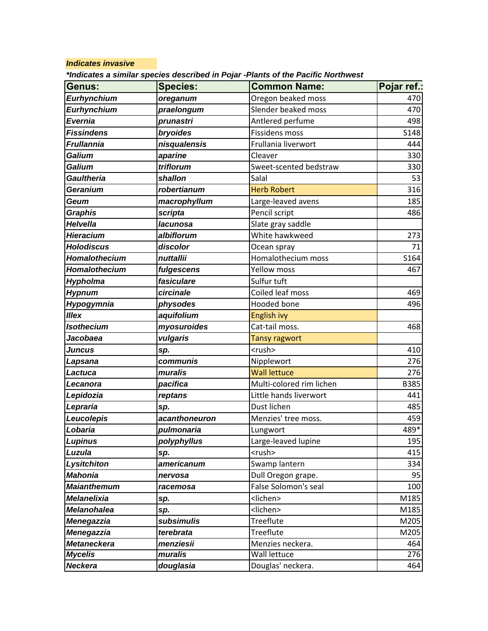## *Indicates invasive*

| *Indicates a similar species described in Pojar -Plants of the Pacific Northwest |  |  |  |  |
|----------------------------------------------------------------------------------|--|--|--|--|
|----------------------------------------------------------------------------------|--|--|--|--|

| Genus:             | <b>Species:</b> | <b>Common Name:</b>      | Pojar ref.: |
|--------------------|-----------------|--------------------------|-------------|
| <b>Eurhynchium</b> | oreganum        | Oregon beaked moss       | 470         |
| Eurhynchium        | praelongum      | Slender beaked moss      | 470         |
| <b>Evernia</b>     | prunastri       | Antlered perfume         | 498         |
| <b>Fissindens</b>  | bryoides        | <b>Fissidens moss</b>    | S148        |
| <b>Frullannia</b>  | nisqualensis    | Frullania liverwort      | 444         |
| Galium             | aparine         | Cleaver                  | 330         |
| Galium             | triflorum       | Sweet-scented bedstraw   | 330         |
| <b>Gaultheria</b>  | shallon         | Salal                    | 53          |
| Geranium           | robertianum     | <b>Herb Robert</b>       | 316         |
| Geum               | macrophyllum    | Large-leaved avens       | 185         |
| Graphis            | scripta         | Pencil script            | 486         |
| Helvella           | lacunosa        | Slate gray saddle        |             |
| Hieracium          | albiflorum      | White hawkweed           | 273         |
| <b>Holodiscus</b>  | discolor        | Ocean spray              | 71          |
| Homalothecium      | nuttallii       | Homalothecium moss       | S164        |
| Homalothecium      | fulgescens      | <b>Yellow moss</b>       | 467         |
| <b>Hypholma</b>    | fasiculare      | Sulfur tuft              |             |
| <b>Hypnum</b>      | circinale       | Coiled leaf moss         | 469         |
| Hypogymnia         | physodes        | <b>Hooded bone</b>       | 496         |
| <b>Illex</b>       | aquifolium      | English ivy              |             |
| <b>Isothecium</b>  | myosuroides     | Cat-tail moss.           | 468         |
| Jacobaea           | vulgaris        | <b>Tansy ragwort</b>     |             |
| Juncus             | sp.             | <rush></rush>            | 410         |
| Lapsana            | communis        | Nipplewort               | 276         |
| Lactuca            | muralis         | <b>Wall lettuce</b>      | 276         |
| Lecanora           | pacifica        | Multi-colored rim lichen | <b>B385</b> |
| Lepidozia          | reptans         | Little hands liverwort   | 441         |
| Lepraria           | sp.             | Dust lichen              | 485         |
| Leucolepis         | acanthoneuron   | Menzies' tree moss.      | 459         |
| Lobaria            | pulmonaria      | Lungwort                 | 489*        |
| <b>Lupinus</b>     | polyphyllus     | Large-leaved lupine      | 195         |
| Luzula             | sp.             | <rush></rush>            | 415         |
| Lysitchiton        | americanum      | Swamp lantern            | 334         |
| <b>Mahonia</b>     | nervosa         | Dull Oregon grape.       | 95          |
| <b>Maianthemum</b> | racemosa        | False Solomon's seal     | 100         |
| <b>Melanelixia</b> | sp.             | <lichen></lichen>        | M185        |
| <b>Melanohalea</b> | sp.             | <lichen></lichen>        | M185        |
| <b>Menegazzia</b>  | subsimulis      | Treeflute                | M205        |
| <b>Menegazzia</b>  | terebrata       | Treeflute                | M205        |
| <b>Metaneckera</b> | menziesii       | Menzies neckera.         | 464         |
| <b>Mycelis</b>     | muralis         | <b>Wall lettuce</b>      | 276         |
| <b>Neckera</b>     | douglasia       | Douglas' neckera.        | 464         |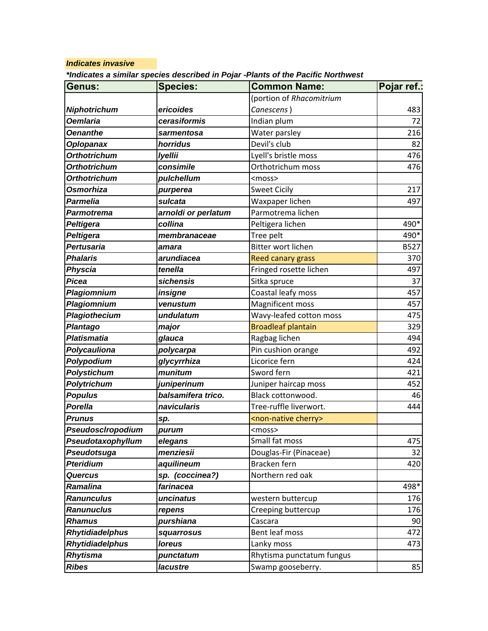## *Indicates invasive*

*\*Indicates a similar species described in Pojar -Plants of the Pacific Northwest*

| Genus:                 | <b>Species:</b>     | <b>Common Name:</b>                 | Pojar ref.: |
|------------------------|---------------------|-------------------------------------|-------------|
|                        |                     | (portion of Rhacomitrium            |             |
| <b>Niphotrichum</b>    | ericoides           | Canescens)                          | 483         |
| <b>Oemlaria</b>        | cerasiformis        | Indian plum                         | 72          |
| <b>Oenanthe</b>        | sarmentosa          | Water parsley                       | 216         |
| <b>Oplopanax</b>       | horridus            | Devil's club                        | 82          |
| <b>Orthotrichum</b>    | <b>Iyellii</b>      | Lyell's bristle moss                | 476         |
| <b>Orthotrichum</b>    | consimile           | Orthotrichum moss                   | 476         |
| <b>Orthotrichum</b>    | pulchellum          | <moss></moss>                       |             |
| <b>Osmorhiza</b>       | purperea            | <b>Sweet Cicily</b>                 | 217         |
| Parmelia               | sulcata             | Waxpaper lichen                     | 497         |
| Parmotrema             | arnoldi or perlatum | Parmotrema lichen                   |             |
| <b>Peltigera</b>       | collina             | Peltigera lichen                    | 490*        |
| <b>Peltigera</b>       | membranaceae        | Tree pelt                           | 490*        |
| Pertusaria             | amara               | Bitter wort lichen                  | <b>B527</b> |
| <b>Phalaris</b>        | arundiacea          | <b>Reed canary grass</b>            | 370         |
| <b>Physcia</b>         | tenella             | Fringed rosette lichen              | 497         |
| <b>Picea</b>           | sichensis           | Sitka spruce                        | 37          |
| Plagiomnium            | insigne             | Coastal leafy moss                  | 457         |
| Plagiomnium            | venustum            | Magnificent moss                    | 457         |
| Plagiothecium          | undulatum           | Wavy-leafed cotton moss             | 475         |
| <b>Plantago</b>        | major               | <b>Broadleaf plantain</b>           | 329         |
| <b>Platismatia</b>     | glauca              | Ragbag lichen                       | 494         |
| Polycauliona           | polycarpa           | Pin cushion orange                  | 492         |
| Polypodium             | glycyrrhiza         | Licorice fern                       | 424         |
| <b>Polystichum</b>     | munitum             | Sword fern                          | 421         |
| Polytrichum            | juniperinum         | Juniper haircap moss                | 452         |
| <b>Populus</b>         | balsamifera trico.  | Black cottonwood.                   | 46          |
| Porella                | navicularis         | Tree-ruffle liverwort.              | 444         |
| <b>Prunus</b>          | sp.                 | <non-native cherry=""></non-native> |             |
| PseudoscIropodium      | purum               | <moss></moss>                       |             |
| Pseudotaxophyllum      | elegans             | Small fat moss                      | 475         |
| Pseudotsuga            | menziesii           | Douglas-Fir (Pinaceae)              | 32          |
| <b>Pteridium</b>       | aquilineum          | Bracken fern                        | 420         |
| <b>Quercus</b>         | sp. (coccinea?)     | Northern red oak                    |             |
| <b>Ramalina</b>        | farinacea           |                                     | 498*        |
| <b>Ranunculus</b>      | uncinatus           | western buttercup                   | 176         |
| <b>Ranunuclus</b>      | repens              | Creeping buttercup                  | 176         |
| <b>Rhamus</b>          | purshiana           | Cascara                             | 90          |
| <b>Rhytidiadelphus</b> | squarrosus          | Bent leaf moss                      | 472         |
| <b>Rhytidiadelphus</b> | <b>loreus</b>       | Lanky moss                          | 473         |
| Rhytisma               | punctatum           | Rhytisma punctatum fungus           |             |
| <b>Ribes</b>           | lacustre            | Swamp gooseberry.                   | 85          |